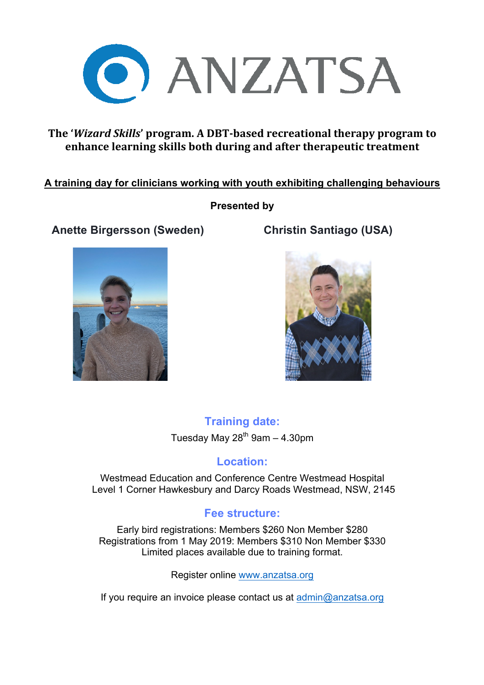

### **The 'Wizard Skills' program.** A DBT-based recreational therapy program to **enhance learning skills both during and after therapeutic treatment**

### **A training day for clinicians working with youth exhibiting challenging behaviours**

### **Presented by**

# **Anette Birgersson (Sweden) Christin Santiago (USA)**





**Training date:** Tuesday May  $28^{th}$  9am - 4.30pm

## **Location:**

Westmead Education and Conference Centre Westmead Hospital Level 1 Corner Hawkesbury and Darcy Roads Westmead, NSW, 2145

### **Fee structure:**

Early bird registrations: Members \$260 Non Member \$280 Registrations from 1 May 2019: Members \$310 Non Member \$330 Limited places available due to training format.

Register online www.anzatsa.org

If you require an invoice please contact us at admin@anzatsa.org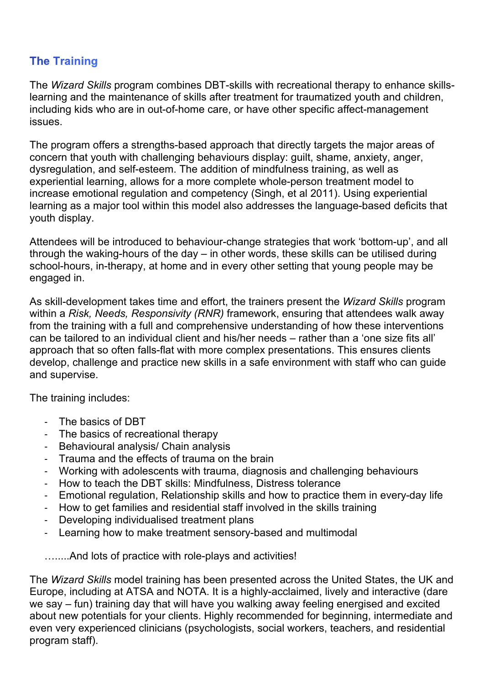## **The Training**

The *Wizard Skills* program combines DBT-skills with recreational therapy to enhance skillslearning and the maintenance of skills after treatment for traumatized youth and children, including kids who are in out-of-home care, or have other specific affect-management issues.

The program offers a strengths-based approach that directly targets the major areas of concern that youth with challenging behaviours display: guilt, shame, anxiety, anger, dysregulation, and self-esteem. The addition of mindfulness training, as well as experiential learning, allows for a more complete whole-person treatment model to increase emotional regulation and competency (Singh, et al 2011). Using experiential learning as a major tool within this model also addresses the language-based deficits that youth display.

Attendees will be introduced to behaviour-change strategies that work 'bottom-up', and all through the waking-hours of the day – in other words, these skills can be utilised during school-hours, in-therapy, at home and in every other setting that young people may be engaged in.

As skill-development takes time and effort, the trainers present the *Wizard Skills* program within a *Risk, Needs, Responsivity (RNR)* framework, ensuring that attendees walk away from the training with a full and comprehensive understanding of how these interventions can be tailored to an individual client and his/her needs – rather than a 'one size fits all' approach that so often falls-flat with more complex presentations. This ensures clients develop, challenge and practice new skills in a safe environment with staff who can guide and supervise.

The training includes:

- The basics of DBT
- The basics of recreational therapy
- Behavioural analysis/ Chain analysis
- Trauma and the effects of trauma on the brain
- Working with adolescents with trauma, diagnosis and challenging behaviours
- How to teach the DBT skills: Mindfulness, Distress tolerance
- Emotional regulation, Relationship skills and how to practice them in every-day life
- How to get families and residential staff involved in the skills training
- Developing individualised treatment plans
- Learning how to make treatment sensory-based and multimodal

….....And lots of practice with role-plays and activities!

The *Wizard Skills* model training has been presented across the United States, the UK and Europe, including at ATSA and NOTA. It is a highly-acclaimed, lively and interactive (dare we say – fun) training day that will have you walking away feeling energised and excited about new potentials for your clients. Highly recommended for beginning, intermediate and even very experienced clinicians (psychologists, social workers, teachers, and residential program staff).